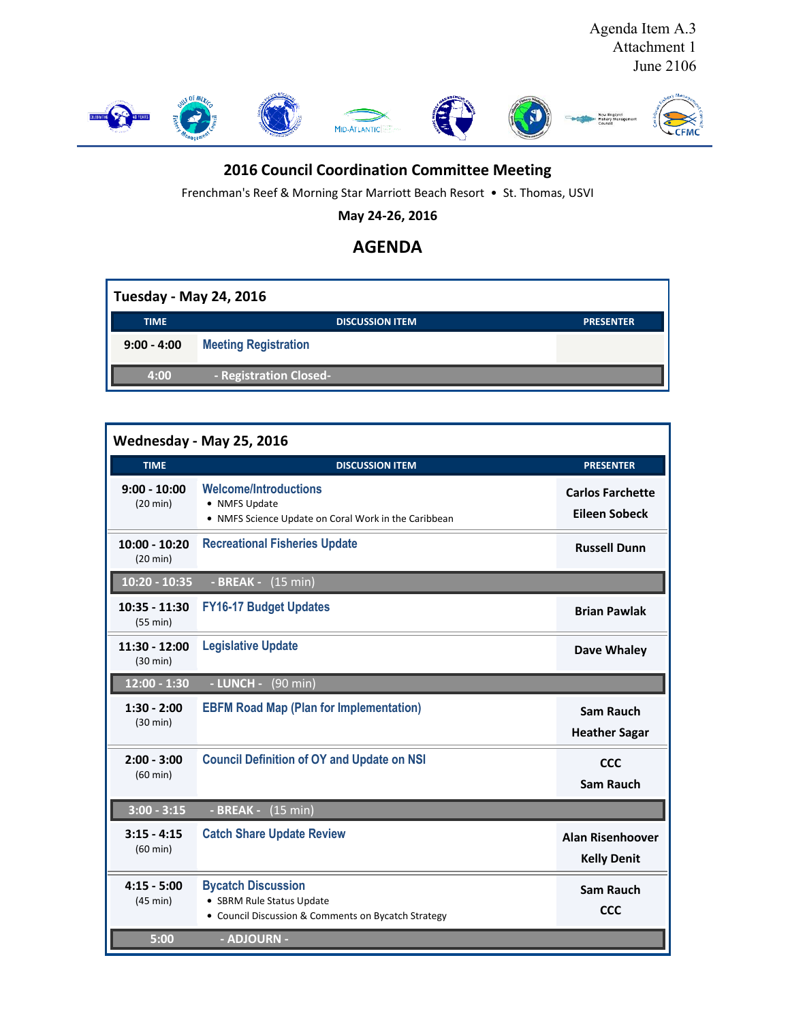

## **2016 Council Coordination Committee Meeting**

Frenchman's Reef & Morning Star Marriott Beach Resort • St. Thomas, USVI

**May 24-26, 2016**

## **AGENDA**

| <b>Tuesday - May 24, 2016</b> |                             |                  |  |  |
|-------------------------------|-----------------------------|------------------|--|--|
| <b>TIME</b>                   | <b>DISCUSSION ITEM</b>      | <b>PRESENTER</b> |  |  |
| $9:00 - 4:00$                 | <b>Meeting Registration</b> |                  |  |  |
| 4:00                          | - Registration Closed-      |                  |  |  |

|                                       | Wednesday - May 25, 2016                                                                                      |                                                 |
|---------------------------------------|---------------------------------------------------------------------------------------------------------------|-------------------------------------------------|
| <b>TIME</b>                           | <b>DISCUSSION ITEM</b>                                                                                        | <b>PRESENTER</b>                                |
| $9:00 - 10:00$<br>$(20 \text{ min})$  | <b>Welcome/Introductions</b><br>• NMFS Update<br>• NMFS Science Update on Coral Work in the Caribbean         | <b>Carlos Farchette</b><br><b>Eileen Sobeck</b> |
| $10:00 - 10:20$<br>$(20 \text{ min})$ | <b>Recreational Fisheries Update</b>                                                                          | <b>Russell Dunn</b>                             |
| 10:20 - 10:35                         | - BREAK - (15 min)                                                                                            |                                                 |
| 10:35 - 11:30<br>(55 min)             | <b>FY16-17 Budget Updates</b>                                                                                 | <b>Brian Pawlak</b>                             |
| 11:30 - 12:00<br>(30 min)             | <b>Legislative Update</b>                                                                                     | Dave Whaley                                     |
| $12:00 - 1:30$                        | - LUNCH - (90 min)                                                                                            |                                                 |
| $1:30 - 2:00$<br>(30 min)             | <b>EBFM Road Map (Plan for Implementation)</b>                                                                | <b>Sam Rauch</b><br><b>Heather Sagar</b>        |
| $2:00 - 3:00$<br>$(60 \text{ min})$   | <b>Council Definition of OY and Update on NSI</b>                                                             | <b>CCC</b><br><b>Sam Rauch</b>                  |
| $3:00 - 3:15$                         | - BREAK - (15 min)                                                                                            |                                                 |
| $3:15 - 4:15$<br>(60 min)             | <b>Catch Share Update Review</b>                                                                              | <b>Alan Risenhoover</b><br><b>Kelly Denit</b>   |
| $4:15 - 5:00$<br>(45 min)             | <b>Bycatch Discussion</b><br>• SBRM Rule Status Update<br>• Council Discussion & Comments on Bycatch Strategy | Sam Rauch<br><b>CCC</b>                         |
| 5:00                                  | - ADJOURN -                                                                                                   |                                                 |